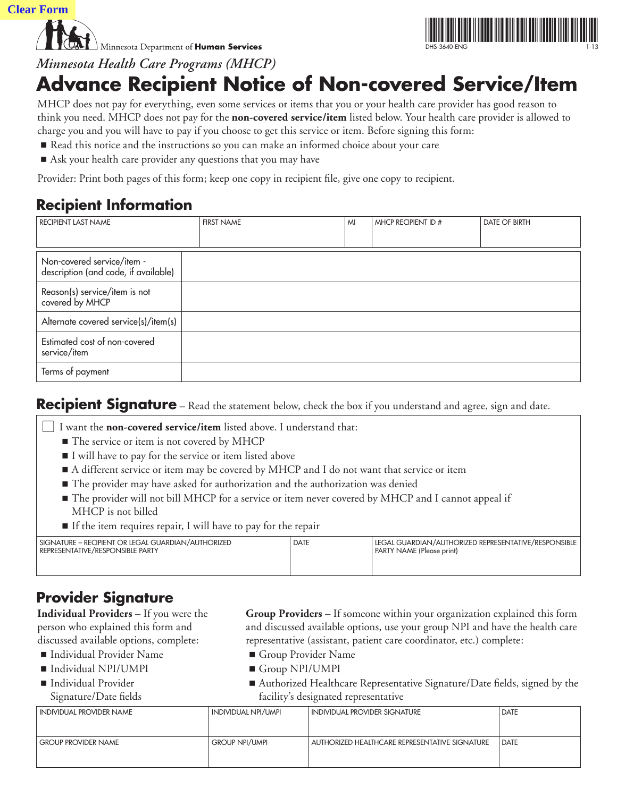**Clear Form**

 $\perp$  Minnesota Department of **Human Services** 



*Minnesota Health Care Programs (MHCP)*

# **Advance Recipient Notice of Non-covered Service/Item**

MHCP does not pay for everything, even some services or items that you or your health care provider has good reason to think you need. MHCP does not pay for the **non-covered service/item** listed below. Your health care provider is allowed to charge you and you will have to pay if you choose to get this service or item. Before signing this form:

- Read this notice and the instructions so you can make an informed choice about your care
- Ask your health care provider any questions that you may have

Provider: Print both pages of this form; keep one copy in recipient file, give one copy to recipient.

# **Recipient Information**

| RECIPIENT LAST NAME                                                | <b>FIRST NAME</b> | MI | MHCP RECIPIENT ID # | <b>DATE OF BIRTH</b> |
|--------------------------------------------------------------------|-------------------|----|---------------------|----------------------|
|                                                                    |                   |    |                     |                      |
| Non-covered service/item -<br>description (and code, if available) |                   |    |                     |                      |
| Reason(s) service/item is not<br>covered by MHCP                   |                   |    |                     |                      |
| Alternate covered service(s)/item(s)                               |                   |    |                     |                      |
| Estimated cost of non-covered<br>service/item                      |                   |    |                     |                      |
| Terms of payment                                                   |                   |    |                     |                      |

### **Recipient Signature** – Read the statement below, check the box if you understand and agree, sign and date.

l I want the **non-covered service/item** listed above. I understand that:

- The service or item is not covered by MHCP
- I will have to pay for the service or item listed above
- A different service or item may be covered by MHCP and I do not want that service or item
- The provider may have asked for authorization and the authorization was denied
- The provider will not bill MHCP for a service or item never covered by MHCP and I cannot appeal if MHCP is not billed
- If the item requires repair, I will have to pay for the repair

| SIGNATURE – RECIPIENT OR LEGAL GUARDIAN/AUTHORIZED<br><b>REPRESENTATIVE/RESPONSIBLE PARTY</b> | <b>DATE</b> | I LEGAL GUARDIAN/AUTHORIZED REPRESENTATIVE/RESPONSIBLE<br>PARTY NAME (Please print) |
|-----------------------------------------------------------------------------------------------|-------------|-------------------------------------------------------------------------------------|
|                                                                                               |             |                                                                                     |

### **Provider Signature**

**Individual Providers** – If you were the person who explained this form and discussed available options, complete:

- Individual Provider Name
- Individual NPI/UMPI
- Individual Provider Signature/Date fields
- **Group Providers** If someone within your organization explained this form and discussed available options, use your group NPI and have the health care representative (assistant, patient care coordinator, etc.) complete:
	- Group Provider Name
	- Group NPI/UMPI
- Authorized Healthcare Representative Signature/Date fields, signed by the facility's designated representative

| INDIVIDUAL NPI/UMPI<br><b>INDIVIDUAL PROVIDER SIGNATURE</b> | <b>DATE</b>                                                             |
|-------------------------------------------------------------|-------------------------------------------------------------------------|
|                                                             |                                                                         |
|                                                             | <b>DATE</b>                                                             |
|                                                             |                                                                         |
|                                                             | <b>GROUP NPI/UMPI</b><br>AUTHORIZED HEALTHCARE REPRESENTATIVE SIGNATURE |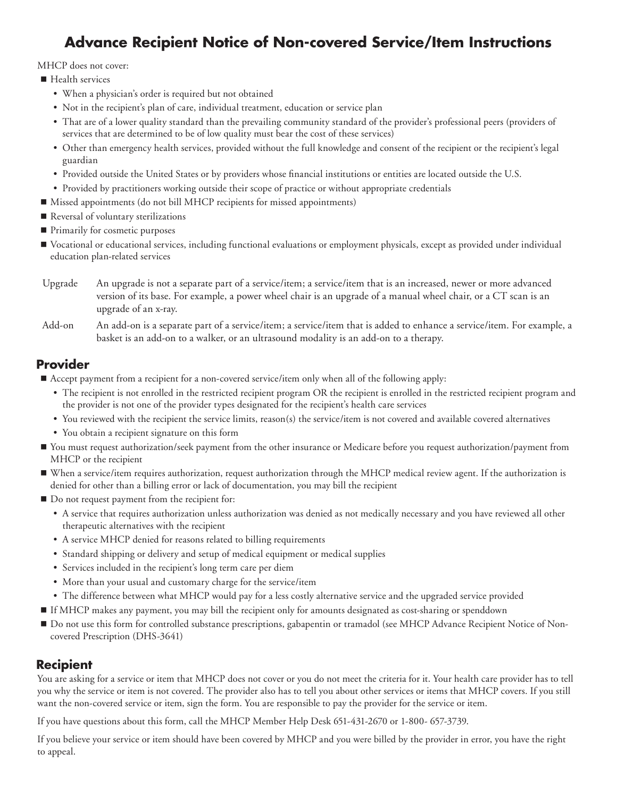# **Advance Recipient Notice of Non-covered Service/Item Instructions**

MHCP does not cover:

- Health services
	- When a physician's order is required but not obtained
	- Not in the recipient's plan of care, individual treatment, education or service plan
	- • That are of a lower quality standard than the prevailing community standard of the provider's professional peers (providers of services that are determined to be of low quality must bear the cost of these services)
	- • Other than emergency health services, provided without the full knowledge and consent of the recipient or the recipient's legal guardian
	- • Provided outside the United States or by providers whose financial institutions or entities are located outside the U.S.
	- • Provided by practitioners working outside their scope of practice or without appropriate credentials
- Missed appointments (do not bill MHCP recipients for missed appointments)
- Reversal of voluntary sterilizations
- **Primarily for cosmetic purposes**
- Vocational or educational services, including functional evaluations or employment physicals, except as provided under individual education plan-related services
- Upgrade An upgrade is not a separate part of a service/item; a service/item that is an increased, newer or more advanced version of its base. For example, a power wheel chair is an upgrade of a manual wheel chair, or a CT scan is an upgrade of an x-ray.
- Add-on An add-on is a separate part of a service/item; a service/item that is added to enhance a service/item. For example, a basket is an add-on to a walker, or an ultrasound modality is an add-on to a therapy.

### **Provider**

- Accept payment from a recipient for a non-covered service/item only when all of the following apply:
	- • The recipient is not enrolled in the restricted recipient program OR the recipient is enrolled in the restricted recipient program and the provider is not one of the provider types designated for the recipient's health care services
	- • You reviewed with the recipient the service limits, reason(s) the service/item is not covered and available covered alternatives
	- You obtain a recipient signature on this form
- You must request authorization/seek payment from the other insurance or Medicare before you request authorization/payment from MHCP or the recipient
- When a service/item requires authorization, request authorization through the MHCP medical review agent. If the authorization is denied for other than a billing error or lack of documentation, you may bill the recipient
- $\blacksquare$  Do not request payment from the recipient for:
	- • A service that requires authorization unless authorization was denied as not medically necessary and you have reviewed all other therapeutic alternatives with the recipient
	- A service MHCP denied for reasons related to billing requirements
	- Standard shipping or delivery and setup of medical equipment or medical supplies
	- Services included in the recipient's long term care per diem
	- More than your usual and customary charge for the service/item
	- • The difference between what MHCP would pay for a less costly alternative service and the upgraded service provided
- If MHCP makes any payment, you may bill the recipient only for amounts designated as cost-sharing or spenddown
- Do not use this form for controlled substance prescriptions, gabapentin or tramadol (see MHCP Advance Recipient Notice of Noncovered Prescription (DHS-3641)

#### **Recipient**

You are asking for a service or item that MHCP does not cover or you do not meet the criteria for it. Your health care provider has to tell you why the service or item is not covered. The provider also has to tell you about other services or items that MHCP covers. If you still want the non-covered service or item, sign the form. You are responsible to pay the provider for the service or item.

If you have questions about this form, call the MHCP Member Help Desk 651-431-2670 or 1-800- 657-3739.

If you believe your service or item should have been covered by MHCP and you were billed by the provider in error, you have the right to appeal.